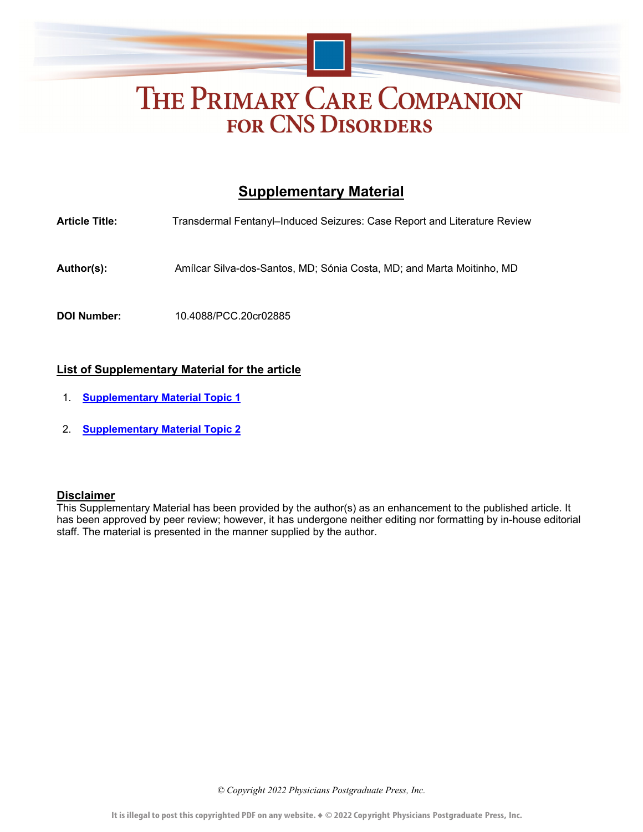# THE PRIMARY CARE COMPANION **FOR CNS DISORDERS**

# **Supplementary Material**

**Article Title:** Transdermal Fentanyl–Induced Seizures: Case Report and Literature Review **Author(s):** Amílcar Silva-dos-Santos, MD; Sónia Costa, MD; and Marta Moitinho, MD **DOI Number:** 10.4088/PCC.20cr02885

## **List of Supplementary Material for the article**

- 1. **[Supplementary Material Topic 1](#page-1-0)**
- 2. **[Supplementary Material Topic 2](#page-1-0)**

#### **Disclaimer**

This Supplementary Material has been provided by the author(s) as an enhancement to the published article. It has been approved by peer review; however, it has undergone neither editing nor formatting by in-house editorial staff. The material is presented in the manner supplied by the author.